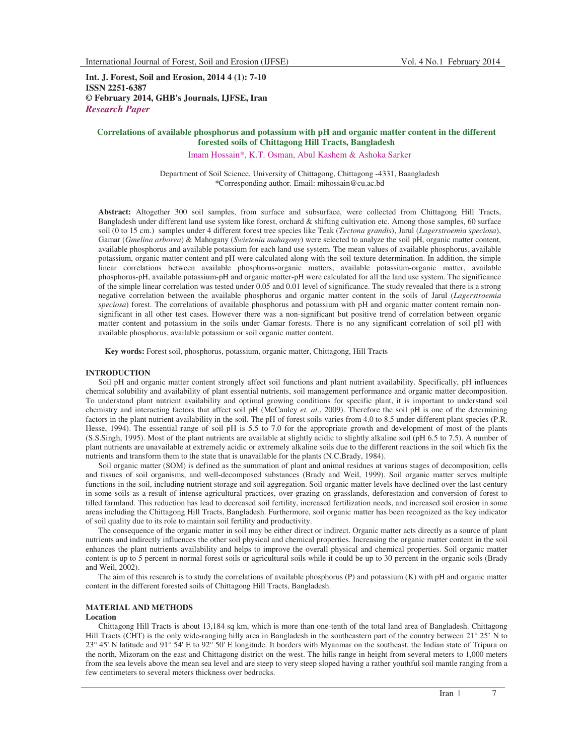**Int. J. Forest, Soil and Erosion, 2014 4 (1): 7-10 ISSN 2251-6387 © February 2014, GHB's Journals, IJFSE, Iran** *Research Paper*

## **Correlations of available phosphorus and potassium with pH and organic matter content in the different forested soils of Chittagong Hill Tracts, Bangladesh**

Imam Hossain\*, K.T. Osman, Abul Kashem & Ashoka Sarker

Department of Soil Science, University of Chittagong, Chittagong -4331, Baangladesh \*Corresponding author. Email: mihossain@cu.ac.bd

**Abstract:** Altogether 300 soil samples, from surface and subsurface, were collected from Chittagong Hill Tracts, Bangladesh under different land use system like forest, orchard & shifting cultivation etc. Among those samples, 60 surface soil (0 to 15 cm.) samples under 4 different forest tree species like Teak (*Tectona grandis*), Jarul (*Lagerstroemia speciosa*), Gamar (*Gmelina arborea*) & Mahogany (*Swietenia mahagony*) were selected to analyze the soil pH, organic matter content, available phosphorus and available potassium for each land use system. The mean values of available phosphorus, available potassium, organic matter content and pH were calculated along with the soil texture determination. In addition, the simple linear correlations between available phosphorus-organic matters, available potassium-organic matter, available phosphorus-pH, available potassium-pH and organic matter-pH were calculated for all the land use system. The significance of the simple linear correlation was tested under 0.05 and 0.01 level of significance. The study revealed that there is a strong negative correlation between the available phosphorus and organic matter content in the soils of Jarul (*Lagerstroemia speciosa*) forest. The correlations of available phosphorus and potassium with pH and organic matter content remain nonsignificant in all other test cases. However there was a non-significant but positive trend of correlation between organic matter content and potassium in the soils under Gamar forests. There is no any significant correlation of soil pH with available phosphorus, available potassium or soil organic matter content.

**Key words:** Forest soil, phosphorus, potassium, organic matter, Chittagong, Hill Tracts

# **INTRODUCTION**

Soil pH and organic matter content strongly affect soil functions and plant nutrient availability. Specifically, pH influences chemical solubility and availability of plant essential nutrients, soil management performance and organic matter decomposition. To understand plant nutrient availability and optimal growing conditions for specific plant, it is important to understand soil chemistry and interacting factors that affect soil pH (McCauley *et. al.*, 2009). Therefore the soil pH is one of the determining factors in the plant nutrient availability in the soil. The pH of forest soils varies from 4.0 to 8.5 under different plant species (P.R. Hesse, 1994). The essential range of soil pH is 5.5 to 7.0 for the appropriate growth and development of most of the plants (S.S.Singh, 1995). Most of the plant nutrients are available at slightly acidic to slightly alkaline soil (pH 6.5 to 7.5). A number of plant nutrients are unavailable at extremely acidic or extremely alkaline soils due to the different reactions in the soil which fix the nutrients and transform them to the state that is unavailable for the plants (N.C.Brady, 1984).

Soil organic matter (SOM) is defined as the summation of plant and animal residues at various stages of decomposition, cells and tissues of soil organisms, and well-decomposed substances (Brady and Weil, 1999). Soil organic matter serves multiple functions in the soil, including nutrient storage and soil aggregation. Soil organic matter levels have declined over the last century in some soils as a result of intense agricultural practices, over-grazing on grasslands, deforestation and conversion of forest to tilled farmland. This reduction has lead to decreased soil fertility, increased fertilization needs, and increased soil erosion in some areas including the Chittagong Hill Tracts, Bangladesh. Furthermore, soil organic matter has been recognized as the key indicator of soil quality due to its role to maintain soil fertility and productivity.

The consequence of the organic matter in soil may be either direct or indirect. Organic matter acts directly as a source of plant nutrients and indirectly influences the other soil physical and chemical properties. Increasing the organic matter content in the soil enhances the plant nutrients availability and helps to improve the overall physical and chemical properties. Soil organic matter content is up to 5 percent in normal forest soils or agricultural soils while it could be up to 30 percent in the organic soils (Brady and Weil, 2002).

The aim of this research is to study the correlations of available phosphorus (P) and potassium (K) with pH and organic matter content in the different forested soils of Chittagong Hill Tracts, Bangladesh.

# **MATERIAL AND METHODS**

## **Location**

Chittagong Hill Tracts is about 13,184 sq km, which is more than one-tenth of the total land area of Bangladesh. Chittagong Hill Tracts (CHT) is the only wide-ranging hilly area in Bangladesh in the southeastern part of the country between 21° 25' N to 23° 45' N latitude and 91° 54' E to 92° 50' E longitude. It borders with Myanmar on the southeast, the Indian state of Tripura on the north, Mizoram on the east and Chittagong district on the west. The hills range in height from several meters to 1,000 meters from the sea levels above the mean sea level and are steep to very steep sloped having a rather youthful soil mantle ranging from a few centimeters to several meters thickness over bedrocks.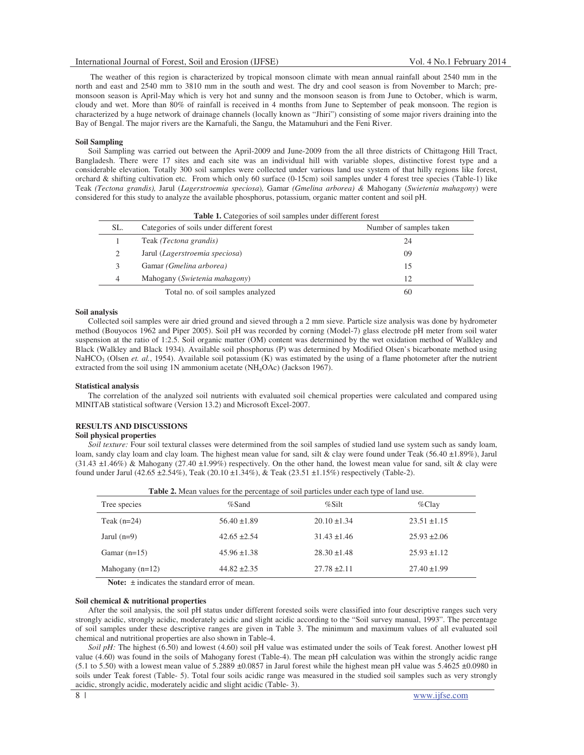The weather of this region is characterized by tropical monsoon climate with mean annual rainfall about 2540 mm in the north and east and 2540 mm to 3810 mm in the south and west. The dry and cool season is from November to March; premonsoon season is April-May which is very hot and sunny and the monsoon season is from June to October, which is warm, cloudy and wet. More than 80% of rainfall is received in 4 months from June to September of peak monsoon. The region is characterized by a huge network of drainage channels (locally known as "Jhiri") consisting of some major rivers draining into the Bay of Bengal. The major rivers are the Karnafuli, the Sangu, the Matamuhuri and the Feni River.

#### **Soil Sampling**

Soil Sampling was carried out between the April-2009 and June-2009 from the all three districts of Chittagong Hill Tract, Bangladesh. There were 17 sites and each site was an individual hill with variable slopes, distinctive forest type and a considerable elevation. Totally 300 soil samples were collected under various land use system of that hilly regions like forest, orchard & shifting cultivation etc*.* From which only 60 surface (0-15cm) soil samples under 4 forest tree species (Table-1) like Teak *(Tectona grandis),* Jarul (*Lagerstroemia speciosa*)*,* Gamar *(Gmelina arborea) &* Mahogany (*Swietenia mahagony*) were considered for this study to analyze the available phosphorus, potassium, organic matter content and soil pH.

|     | <b>Table 1.</b> Categories of soil samples under unfertile forest |                         |
|-----|-------------------------------------------------------------------|-------------------------|
| SL. | Categories of soils under different forest                        | Number of samples taken |
|     | Teak (Tectona grandis)                                            | 24                      |
|     | Jarul (Lagerstroemia speciosa)                                    | 09                      |
|     | Gamar (Gmelina arborea)                                           | 15                      |
| 4   | Mahogany (Swietenia mahagony)                                     | 12                      |
|     | Total no. of soil samples analyzed                                | 60                      |

**Table 1.** Categories of soil samples under different forest

## **Soil analysis**

Collected soil samples were air dried ground and sieved through a 2 mm sieve. Particle size analysis was done by hydrometer method (Bouyocos 1962 and Piper 2005). Soil pH was recorded by corning (Model-7) glass electrode pH meter from soil water suspension at the ratio of 1:2.5. Soil organic matter (OM) content was determined by the wet oxidation method of Walkley and Black (Walkley and Black 1934). Available soil phosphorus (P) was determined by Modified Olsen's bicarbonate method using NaHCO<sub>3</sub> (Olsen *et. al.*, 1954). Available soil potassium (K) was estimated by the using of a flame photometer after the nutrient extracted from the soil using 1N ammonium acetate (NH4OAc) (Jackson 1967).

### **Statistical analysis**

The correlation of the analyzed soil nutrients with evaluated soil chemical properties were calculated and compared using MINITAB statistical software (Version 13.2) and Microsoft Excel-2007.

#### **RESULTS AND DISCUSSIONS**

### **Soil physical properties**

*Soil texture:* Four soil textural classes were determined from the soil samples of studied land use system such as sandy loam, loam, sandy clay loam and clay loam. The highest mean value for sand, silt & clay were found under Teak (56.40 ±1.89%), Jarul  $(31.43 \pm 1.46\%)$  & Mahogany  $(27.40 \pm 1.99\%)$  respectively. On the other hand, the lowest mean value for sand, silt & clay were found under Jarul (42.65 ±2.54%), Teak (20.10 ±1.34%), & Teak (23.51 ±1.15%) respectively (Table-2).

|                   | <b>Table 2.</b> Mean values for the percentage of soil particles under each type of land use. |                  |                  |
|-------------------|-----------------------------------------------------------------------------------------------|------------------|------------------|
| Tree species      | $%$ Sand                                                                                      | $\%$ Silt        | $\%$ Clay        |
| Teak $(n=24)$     | $56.40 \pm 1.89$                                                                              | $20.10 \pm 1.34$ | $23.51 \pm 1.15$ |
| Jarul $(n=9)$     | $42.65 \pm 2.54$                                                                              | $31.43 \pm 1.46$ | $25.93 \pm 2.06$ |
| Gamar $(n=15)$    | $45.96 \pm 1.38$                                                                              | $28.30 \pm 1.48$ | $25.93 \pm 1.12$ |
| Mahogany $(n=12)$ | $44.82 \pm 2.35$                                                                              | $27.78 \pm 2.11$ | $27.40 \pm 1.99$ |

Note:  $\pm$  indicates the standard error of mean.

#### **Soil chemical & nutritional properties**

After the soil analysis, the soil pH status under different forested soils were classified into four descriptive ranges such very strongly acidic, strongly acidic, moderately acidic and slight acidic according to the "Soil survey manual, 1993". The percentage of soil samples under these descriptive ranges are given in Table 3. The minimum and maximum values of all evaluated soil chemical and nutritional properties are also shown in Table-4.

*Soil pH:* The highest (6.50) and lowest (4.60) soil pH value was estimated under the soils of Teak forest. Another lowest pH value (4.60) was found in the soils of Mahogany forest (Table-4). The mean pH calculation was within the strongly acidic range (5.1 to 5.50) with a lowest mean value of 5.2889  $\pm 0.0857$  in Jarul forest while the highest mean pH value was 5.4625  $\pm 0.0980$  in soils under Teak forest (Table- 5). Total four soils acidic range was measured in the studied soil samples such as very strongly acidic, strongly acidic, moderately acidic and slight acidic (Table- 3).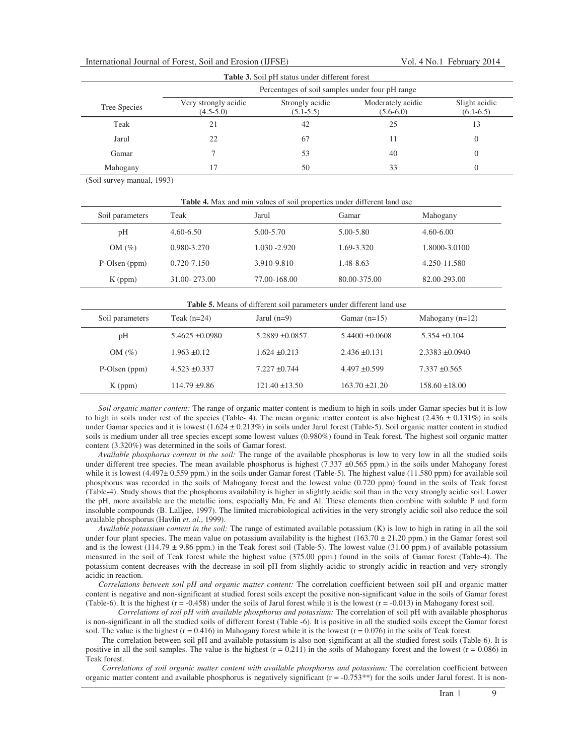|  | International Journal of Forest, Soil and Erosion (IJFSE) |  |  |  |  |
|--|-----------------------------------------------------------|--|--|--|--|
|--|-----------------------------------------------------------|--|--|--|--|

|              | Percentages of soil samples under four pH range |                                  |                                  |                              |
|--------------|-------------------------------------------------|----------------------------------|----------------------------------|------------------------------|
| Tree Species | Very strongly acidic<br>$(4.5-5.0)$             | Strongly acidic<br>$(5.1 - 5.5)$ | Moderately acidic<br>$(5.6-6.0)$ | Slight acidic<br>$(6.1-6.5)$ |
| Teak         | 21                                              | 42                               | 25                               | 13                           |
| Jarul        | 22                                              | 67                               | 11                               | $\theta$                     |
| Gamar        |                                                 | 53                               | 40                               |                              |
| Mahogany     |                                                 | 50                               | 33                               |                              |

(Soil survey manual, 1993)

| Soil parameters | Teak            | Jarul           | Gamar        | Mahogany      |
|-----------------|-----------------|-----------------|--------------|---------------|
| pH              | $4.60 - 6.50$   | 5.00-5.70       | 5.00-5.80    | $4.60 - 6.00$ |
| $OM(\%)$        | 0.980-3.270     | $1.030 - 2.920$ | 1.69-3.320   | 1.8000-3.0100 |
| P-Olsen (ppm)   | $0.720 - 7.150$ | 3.910-9.810     | 1.48-8.63    | 4.250-11.580  |
| $K$ (ppm)       | 31.00-273.00    | 77.00-168.00    | 80.00-375.00 | 82.00-293.00  |

|  | <b>Table 5.</b> Means of different soil parameters under different land use |
|--|-----------------------------------------------------------------------------|
|--|-----------------------------------------------------------------------------|

| Soil parameters | Teak $(n=24)$       | Jarul $(n=9)$       | Gamar $(n=15)$      | Mahogany $(n=12)$   |  |
|-----------------|---------------------|---------------------|---------------------|---------------------|--|
| pH              | $5.4625 \pm 0.0980$ | $5.2889 \pm 0.0857$ | $5.4400 \pm 0.0608$ | $5.354 \pm 0.104$   |  |
| $OM(\%)$        | $1.963 \pm 0.12$    | $1.624 \pm 0.213$   | $2.436 \pm 0.131$   | $2.3383 \pm 0.0940$ |  |
| P-Olsen (ppm)   | $4.523 \pm 0.337$   | $7.227 \pm 0.744$   | $4.497 \pm 0.599$   | $7.337 \pm 0.565$   |  |
| $K$ (ppm)       | $114.79 \pm 9.86$   | $121.40 \pm 13.50$  | $163.70 \pm 21.20$  | $158.60 \pm 18.00$  |  |

*Soil organic matter content:* The range of organic matter content is medium to high in soils under Gamar species but it is low to high in soils under rest of the species (Table- 4). The mean organic matter content is also highest  $(2.436 \pm 0.131\%)$  in soils under Gamar species and it is lowest  $(1.624 \pm 0.213\%)$  in soils under Jarul forest (Table-5). Soil organic matter content in studied soils is medium under all tree species except some lowest values (0.980%) found in Teak forest. The highest soil organic matter content (3.320%) was determined in the soils of Gamar forest.

*Available phosphorus content in the soil:* The range of the available phosphorus is low to very low in all the studied soils under different tree species. The mean available phosphorus is highest  $(7.337 \pm 0.565$  ppm.) in the soils under Mahogany forest while it is lowest (4.497± 0.559 ppm.) in the soils under Gamar forest (Table-5). The highest value (11.580 ppm) for available soil phosphorus was recorded in the soils of Mahogany forest and the lowest value (0.720 ppm) found in the soils of Teak forest (Table-4). Study shows that the phosphorus availability is higher in slightly acidic soil than in the very strongly acidic soil. Lower the pH, more available are the metallic ions, especially Mn, Fe and Al. These elements then combine with soluble P and form insoluble compounds (B. Lalljee, 1997). The limited microbiological activities in the very strongly acidic soil also reduce the soil available phosphorus (Havlin *et. al.*, 1999).

*Available potassium content in the soil:* The range of estimated available potassium (K) is low to high in rating in all the soil under four plant species. The mean value on potassium availability is the highest  $(163.70 \pm 21.20$  ppm.) in the Gamar forest soil and is the lowest (114.79  $\pm$  9.86 ppm.) in the Teak forest soil (Table-5). The lowest value (31.00 ppm.) of available potassium measured in the soil of Teak forest while the highest value (375.00 ppm.) found in the soils of Gamar forest (Table-4). The potassium content decreases with the decrease in soil pH from slightly acidic to strongly acidic in reaction and very strongly acidic in reaction.

*Correlations between soil pH and organic matter content:* The correlation coefficient between soil pH and organic matter content is negative and non-significant at studied forest soils except the positive non-significant value in the soils of Gamar forest (Table-6). It is the highest  $(r = -0.458)$  under the soils of Jarul forest while it is the lowest  $(r = -0.013)$  in Mahogany forest soil.

*Correlations of soil pH with available phosphorus and potassium:* The correlation of soil pH with available phosphorus is non-significant in all the studied soils of different forest (Table -6). It is positive in all the studied soils except the Gamar forest soil. The value is the highest  $(r = 0.416)$  in Mahogany forest while it is the lowest  $(r = 0.076)$  in the soils of Teak forest.

The correlation between soil pH and available potassium is also non-significant at all the studied forest soils (Table-6). It is positive in all the soil samples. The value is the highest  $(r = 0.211)$  in the soils of Mahogany forest and the lowest  $(r = 0.086)$  in Teak forest.

*Correlations of soil organic matter content with available phosphorus and potassium:* The correlation coefficient between organic matter content and available phosphorus is negatively significant  $(r = -0.753**)$  for the soils under Jarul forest. It is non-